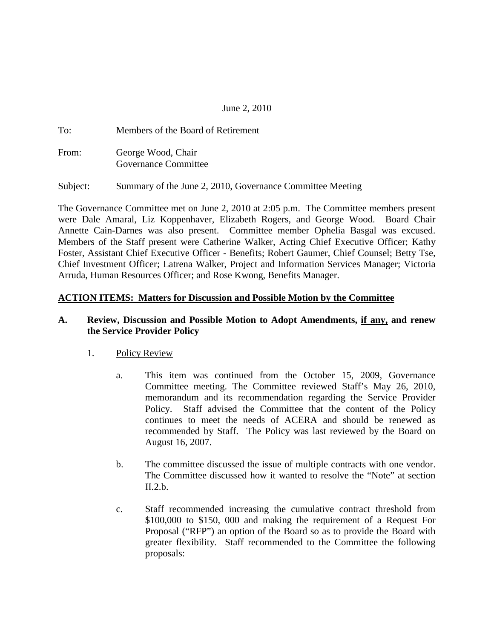### June 2, 2010

| To:   | Members of the Board of Retirement |
|-------|------------------------------------|
| From: | George Wood, Chair                 |
|       | Governance Committee               |

Subject: Summary of the June 2, 2010, Governance Committee Meeting

The Governance Committee met on June 2, 2010 at 2:05 p.m. The Committee members present were Dale Amaral, Liz Koppenhaver, Elizabeth Rogers, and George Wood. Board Chair Annette Cain-Darnes was also present. Committee member Ophelia Basgal was excused. Members of the Staff present were Catherine Walker, Acting Chief Executive Officer; Kathy Foster, Assistant Chief Executive Officer - Benefits; Robert Gaumer, Chief Counsel; Betty Tse, Chief Investment Officer; Latrena Walker, Project and Information Services Manager; Victoria Arruda, Human Resources Officer; and Rose Kwong, Benefits Manager.

#### **ACTION ITEMS: Matters for Discussion and Possible Motion by the Committee**

#### **A. Review, Discussion and Possible Motion to Adopt Amendments, if any, and renew the Service Provider Policy**

#### 1. Policy Review

- a. This item was continued from the October 15, 2009, Governance Committee meeting. The Committee reviewed Staff's May 26, 2010, memorandum and its recommendation regarding the Service Provider Policy. Staff advised the Committee that the content of the Policy continues to meet the needs of ACERA and should be renewed as recommended by Staff. The Policy was last reviewed by the Board on August 16, 2007.
- b. The committee discussed the issue of multiple contracts with one vendor. The Committee discussed how it wanted to resolve the "Note" at section  $II.2.b.$
- c. Staff recommended increasing the cumulative contract threshold from \$100,000 to \$150, 000 and making the requirement of a Request For Proposal ("RFP") an option of the Board so as to provide the Board with greater flexibility. Staff recommended to the Committee the following proposals: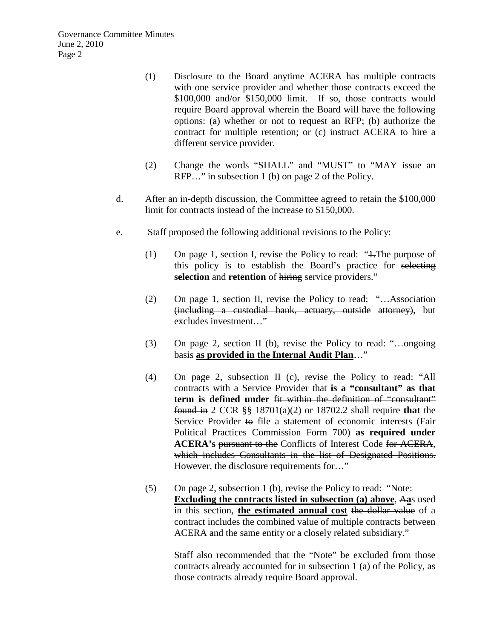Governance Committee Minutes June 2, 2010 Page 2

- (1) Disclosure to the Board anytime ACERA has multiple contracts with one service provider and whether those contracts exceed the \$100,000 and/or \$150,000 limit. If so, those contracts would require Board approval wherein the Board will have the following options: (a) whether or not to request an RFP; (b) authorize the contract for multiple retention; or (c) instruct ACERA to hire a different service provider.
- (2) Change the words "SHALL" and "MUST" to "MAY issue an RFP…" in subsection 1 (b) on page 2 of the Policy.
- d. After an in-depth discussion, the Committee agreed to retain the \$100,000 limit for contracts instead of the increase to \$150,000.
- e. Staff proposed the following additional revisions to the Policy:
	- (1) On page 1, section I, revise the Policy to read: "1.The purpose of this policy is to establish the Board's practice for selecting **selection** and **retention** of hiring service providers."
	- (2) On page 1, section II, revise the Policy to read: "…Association (including a custodial bank, actuary, outside attorney), but excludes investment…"
	- (3) On page 2, section II (b), revise the Policy to read: "…ongoing basis **as provided in the Internal Audit Plan**…"
	- (4) On page 2, subsection II (c), revise the Policy to read: "All contracts with a Service Provider that **is a "consultant" as that term is defined under** fit within the definition of "consultant" found in 2 CCR §§ 18701(a)(2) or 18702.2 shall require **that** the Service Provider to file a statement of economic interests (Fair Political Practices Commission Form 700) **as required under ACERA's** pursuant to the Conflicts of Interest Code for ACERA, which includes Consultants in the list of Designated Positions. However, the disclosure requirements for…"
	- (5) On page 2, subsection 1 (b), revise the Policy to read: "Note: **Excluding the contracts listed in subsection (a) above**, A**a**s used in this section, **the estimated annual cost** the dollar value of a contract includes the combined value of multiple contracts between ACERA and the same entity or a closely related subsidiary."

Staff also recommended that the "Note" be excluded from those contracts already accounted for in subsection 1 (a) of the Policy, as those contracts already require Board approval.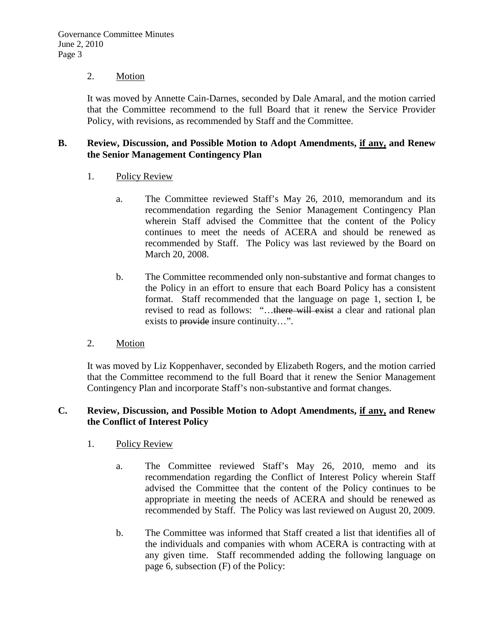#### 2. Motion

It was moved by Annette Cain-Darnes, seconded by Dale Amaral, and the motion carried that the Committee recommend to the full Board that it renew the Service Provider Policy, with revisions, as recommended by Staff and the Committee.

#### **B. Review, Discussion, and Possible Motion to Adopt Amendments, if any, and Renew the Senior Management Contingency Plan**

- 1. Policy Review
	- a. The Committee reviewed Staff's May 26, 2010, memorandum and its recommendation regarding the Senior Management Contingency Plan wherein Staff advised the Committee that the content of the Policy continues to meet the needs of ACERA and should be renewed as recommended by Staff. The Policy was last reviewed by the Board on March 20, 2008.
	- b. The Committee recommended only non-substantive and format changes to the Policy in an effort to ensure that each Board Policy has a consistent format. Staff recommended that the language on page 1, section I, be revised to read as follows: "...there will exist a clear and rational plan exists to provide insure continuity…".
- 2. Motion

It was moved by Liz Koppenhaver, seconded by Elizabeth Rogers, and the motion carried that the Committee recommend to the full Board that it renew the Senior Management Contingency Plan and incorporate Staff's non-substantive and format changes.

#### **C. Review, Discussion, and Possible Motion to Adopt Amendments, if any, and Renew the Conflict of Interest Policy**

- 1. Policy Review
	- a. The Committee reviewed Staff's May 26, 2010, memo and its recommendation regarding the Conflict of Interest Policy wherein Staff advised the Committee that the content of the Policy continues to be appropriate in meeting the needs of ACERA and should be renewed as recommended by Staff. The Policy was last reviewed on August 20, 2009.
	- b. The Committee was informed that Staff created a list that identifies all of the individuals and companies with whom ACERA is contracting with at any given time. Staff recommended adding the following language on page 6, subsection (F) of the Policy: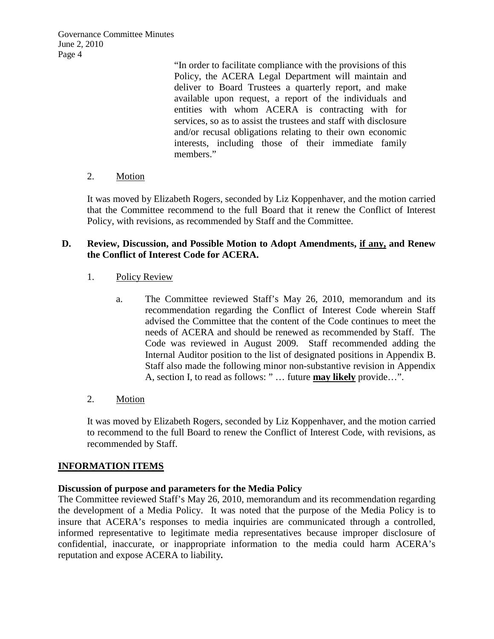Governance Committee Minutes June 2, 2010 Page 4

> "In order to facilitate compliance with the provisions of this Policy, the ACERA Legal Department will maintain and deliver to Board Trustees a quarterly report, and make available upon request, a report of the individuals and entities with whom ACERA is contracting with for services, so as to assist the trustees and staff with disclosure and/or recusal obligations relating to their own economic interests, including those of their immediate family members."

2. Motion

It was moved by Elizabeth Rogers, seconded by Liz Koppenhaver, and the motion carried that the Committee recommend to the full Board that it renew the Conflict of Interest Policy, with revisions, as recommended by Staff and the Committee.

### **D. Review, Discussion, and Possible Motion to Adopt Amendments, if any, and Renew the Conflict of Interest Code for ACERA.**

- 1. Policy Review
	- a. The Committee reviewed Staff's May 26, 2010, memorandum and its recommendation regarding the Conflict of Interest Code wherein Staff advised the Committee that the content of the Code continues to meet the needs of ACERA and should be renewed as recommended by Staff. The Code was reviewed in August 2009. Staff recommended adding the Internal Auditor position to the list of designated positions in Appendix B. Staff also made the following minor non-substantive revision in Appendix A, section I, to read as follows: " … future **may likely** provide…".
- 2. Motion

It was moved by Elizabeth Rogers, seconded by Liz Koppenhaver, and the motion carried to recommend to the full Board to renew the Conflict of Interest Code, with revisions, as recommended by Staff.

#### **INFORMATION ITEMS**

#### **Discussion of purpose and parameters for the Media Policy**

The Committee reviewed Staff's May 26, 2010, memorandum and its recommendation regarding the development of a Media Policy. It was noted that the purpose of the Media Policy is to insure that ACERA's responses to media inquiries are communicated through a controlled, informed representative to legitimate media representatives because improper disclosure of confidential, inaccurate, or inappropriate information to the media could harm ACERA's reputation and expose ACERA to liability**.**